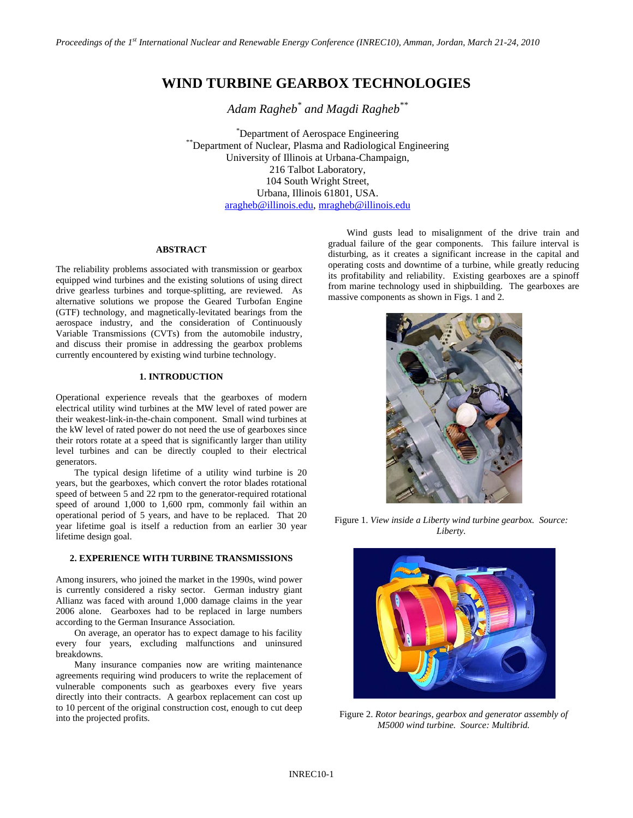# **WIND TURBINE GEARBOX TECHNOLOGIES**

*Adam Ragheb\* and Magdi Ragheb\*\**

\*Department of Aerospace Engineering \*\*Department of Nuclear, Plasma and Radiological Engineering University of Illinois at Urbana-Champaign, 216 Talbot Laboratory, 104 South Wright Street, Urbana, Illinois 61801, USA. [aragheb@illinois.edu,](mailto:aragheb@illinois.edu) [mragheb@illinois.edu](mailto:mragheb@illinois.edu)

# **ABSTRACT**

The reliability problems associated with transmission or gearbox equipped wind turbines and the existing solutions of using direct drive gearless turbines and torque-splitting, are reviewed. As alternative solutions we propose the Geared Turbofan Engine (GTF) technology, and magnetically-levitated bearings from the aerospace industry, and the consideration of Continuously Variable Transmissions (CVTs) from the automobile industry, and discuss their promise in addressing the gearbox problems currently encountered by existing wind turbine technology.

## **1. INTRODUCTION**

Operational experience reveals that the gearboxes of modern electrical utility wind turbines at the MW level of rated power are their weakest-link-in-the-chain component. Small wind turbines at the kW level of rated power do not need the use of gearboxes since their rotors rotate at a speed that is significantly larger than utility level turbines and can be directly coupled to their electrical generators.

The typical design lifetime of a utility wind turbine is 20 years, but the gearboxes, which convert the rotor blades rotational speed of between 5 and 22 rpm to the generator-required rotational speed of around 1,000 to 1,600 rpm, commonly fail within an operational period of 5 years, and have to be replaced. That 20 year lifetime goal is itself a reduction from an earlier 30 year lifetime design goal.

# **2. EXPERIENCE WITH TURBINE TRANSMISSIONS**

Among insurers, who joined the market in the 1990s, wind power is currently considered a risky sector. German industry giant Allianz was faced with around 1,000 damage claims in the year 2006 alone. Gearboxes had to be replaced in large numbers according to the German Insurance Association.

On average, an operator has to expect damage to his facility every four years, excluding malfunctions and uninsured breakdowns.

Many insurance companies now are writing maintenance agreements requiring wind producers to write the replacement of vulnerable components such as gearboxes every five years directly into their contracts. A gearbox replacement can cost up to 10 percent of the original construction cost, enough to cut deep into the projected profits.

Wind gusts lead to misalignment of the drive train and gradual failure of the gear components. This failure interval is disturbing, as it creates a significant increase in the capital and operating costs and downtime of a turbine, while greatly reducing its profitability and reliability. Existing gearboxes are a spinoff from marine technology used in shipbuilding. The gearboxes are massive components as shown in Figs. 1 and 2.



Figure 1. *View inside a Liberty wind turbine gearbox. Source: Liberty.*



Figure 2. *Rotor bearings, gearbox and generator assembly of M5000 wind turbine. Source: Multibrid.*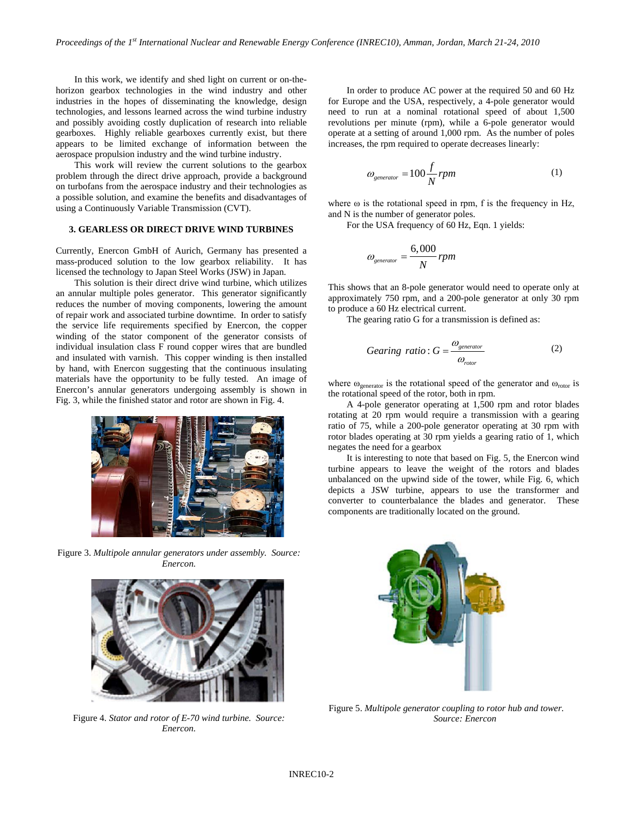In this work, we identify and shed light on current or on-thehorizon gearbox technologies in the wind industry and other industries in the hopes of disseminating the knowledge, design technologies, and lessons learned across the wind turbine industry and possibly avoiding costly duplication of research into reliable gearboxes. Highly reliable gearboxes currently exist, but there appears to be limited exchange of information between the aerospace propulsion industry and the wind turbine industry.

This work will review the current solutions to the gearbox problem through the direct drive approach, provide a background on turbofans from the aerospace industry and their technologies as a possible solution, and examine the benefits and disadvantages of using a Continuously Variable Transmission (CVT).

#### **3. GEARLESS OR DIRECT DRIVE WIND TURBINES**

Currently, Enercon GmbH of Aurich, Germany has presented a mass-produced solution to the low gearbox reliability. It has licensed the technology to Japan Steel Works (JSW) in Japan.

This solution is their direct drive wind turbine, which utilizes an annular multiple poles generator. This generator significantly reduces the number of moving components, lowering the amount of repair work and associated turbine downtime. In order to satisfy the service life requirements specified by Enercon, the copper winding of the stator component of the generator consists of individual insulation class F round copper wires that are bundled and insulated with varnish. This copper winding is then installed by hand, with Enercon suggesting that the continuous insulating materials have the opportunity to be fully tested. An image of Enercon's annular generators undergoing assembly is shown in Fig. 3, while the finished stator and rotor are shown in Fig. 4.



Figure 3. *Multipole annular generators under assembly. Source: Enercon.*



Figure 4. *Stator and rotor of E-70 wind turbine. Source: Enercon.*

In order to produce AC power at the required 50 and 60 Hz for Europe and the USA, respectively, a 4-pole generator would need to run at a nominal rotational speed of about 1,500 revolutions per minute (rpm), while a 6-pole generator would operate at a setting of around 1,000 rpm. As the number of poles increases, the rpm required to operate decreases linearly:

$$
\omega_{\text{generator}} = 100 \frac{f}{N} \, \text{rpm} \tag{1}
$$

where  $\omega$  is the rotational speed in rpm, f is the frequency in Hz, and N is the number of generator poles.

For the USA frequency of 60 Hz, Eqn. 1 yields:

$$
\omega_{\textit{generator}} = \frac{6,000}{N} \, \textit{rpm}
$$

This shows that an 8-pole generator would need to operate only at approximately 750 rpm, and a 200-pole generator at only 30 rpm to produce a 60 Hz electrical current.

The gearing ratio G for a transmission is defined as:

$$
Gearing ratio: G = \frac{\omega_{generator}}{\omega_{rotor}}
$$
 (2)

where  $\omega_{\text{generator}}$  is the rotational speed of the generator and  $\omega_{\text{rotor}}$  is the rotational speed of the rotor, both in rpm.

A 4-pole generator operating at 1,500 rpm and rotor blades rotating at 20 rpm would require a transmission with a gearing ratio of 75, while a 200-pole generator operating at 30 rpm with rotor blades operating at 30 rpm yields a gearing ratio of 1, which negates the need for a gearbox

It is interesting to note that based on Fig. 5, the Enercon wind turbine appears to leave the weight of the rotors and blades unbalanced on the upwind side of the tower, while Fig. 6, which depicts a JSW turbine, appears to use the transformer and converter to counterbalance the blades and generator. These components are traditionally located on the ground.



Figure 5. *Multipole generator coupling to rotor hub and tower. Source: Enercon*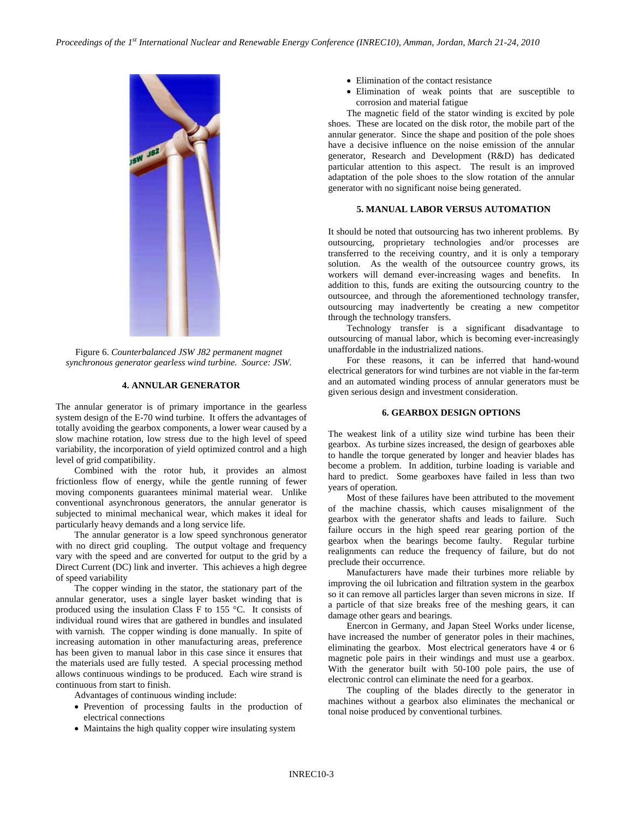

Figure 6. *Counterbalanced JSW J82 permanent magnet synchronous generator gearless wind turbine. Source: JSW.*

#### **4. ANNULAR GENERATOR**

The annular generator is of primary importance in the gearless system design of the E-70 wind turbine. It offers the advantages of totally avoiding the gearbox components, a lower wear caused by a slow machine rotation, low stress due to the high level of speed variability, the incorporation of yield optimized control and a high level of grid compatibility.

Combined with the rotor hub, it provides an almost frictionless flow of energy, while the gentle running of fewer moving components guarantees minimal material wear. Unlike conventional asynchronous generators, the annular generator is subjected to minimal mechanical wear, which makes it ideal for particularly heavy demands and a long service life.

The annular generator is a low speed synchronous generator with no direct grid coupling. The output voltage and frequency vary with the speed and are converted for output to the grid by a Direct Current (DC) link and inverter. This achieves a high degree of speed variability

The copper winding in the stator, the stationary part of the annular generator, uses a single layer basket winding that is produced using the insulation Class F to 155 °C. It consists of individual round wires that are gathered in bundles and insulated with varnish. The copper winding is done manually. In spite of increasing automation in other manufacturing areas, preference has been given to manual labor in this case since it ensures that the materials used are fully tested. A special processing method allows continuous windings to be produced. Each wire strand is continuous from start to finish.

Advantages of continuous winding include:

- Prevention of processing faults in the production of electrical connections
- Maintains the high quality copper wire insulating system
- Elimination of the contact resistance
- Elimination of weak points that are susceptible to corrosion and material fatigue

The magnetic field of the stator winding is excited by pole shoes. These are located on the disk rotor, the mobile part of the annular generator. Since the shape and position of the pole shoes have a decisive influence on the noise emission of the annular generator, Research and Development (R&D) has dedicated particular attention to this aspect. The result is an improved adaptation of the pole shoes to the slow rotation of the annular generator with no significant noise being generated.

## **5. MANUAL LABOR VERSUS AUTOMATION**

It should be noted that outsourcing has two inherent problems. By outsourcing, proprietary technologies and/or processes are transferred to the receiving country, and it is only a temporary solution. As the wealth of the outsourcee country grows, its workers will demand ever-increasing wages and benefits. In addition to this, funds are exiting the outsourcing country to the outsourcee, and through the aforementioned technology transfer, outsourcing may inadvertently be creating a new competitor through the technology transfers.

Technology transfer is a significant disadvantage to outsourcing of manual labor, which is becoming ever-increasingly unaffordable in the industrialized nations.

For these reasons, it can be inferred that hand-wound electrical generators for wind turbines are not viable in the far-term and an automated winding process of annular generators must be given serious design and investment consideration.

# **6. GEARBOX DESIGN OPTIONS**

The weakest link of a utility size wind turbine has been their gearbox. As turbine sizes increased, the design of gearboxes able to handle the torque generated by longer and heavier blades has become a problem. In addition, turbine loading is variable and hard to predict. Some gearboxes have failed in less than two years of operation.

Most of these failures have been attributed to the movement of the machine chassis, which causes misalignment of the gearbox with the generator shafts and leads to failure. Such failure occurs in the high speed rear gearing portion of the gearbox when the bearings become faulty. Regular turbine realignments can reduce the frequency of failure, but do not preclude their occurrence.

Manufacturers have made their turbines more reliable by improving the oil lubrication and filtration system in the gearbox so it can remove all particles larger than seven microns in size. If a particle of that size breaks free of the meshing gears, it can damage other gears and bearings.

Enercon in Germany, and Japan Steel Works under license, have increased the number of generator poles in their machines, eliminating the gearbox. Most electrical generators have 4 or 6 magnetic pole pairs in their windings and must use a gearbox. With the generator built with 50-100 pole pairs, the use of electronic control can eliminate the need for a gearbox.

The coupling of the blades directly to the generator in machines without a gearbox also eliminates the mechanical or tonal noise produced by conventional turbines.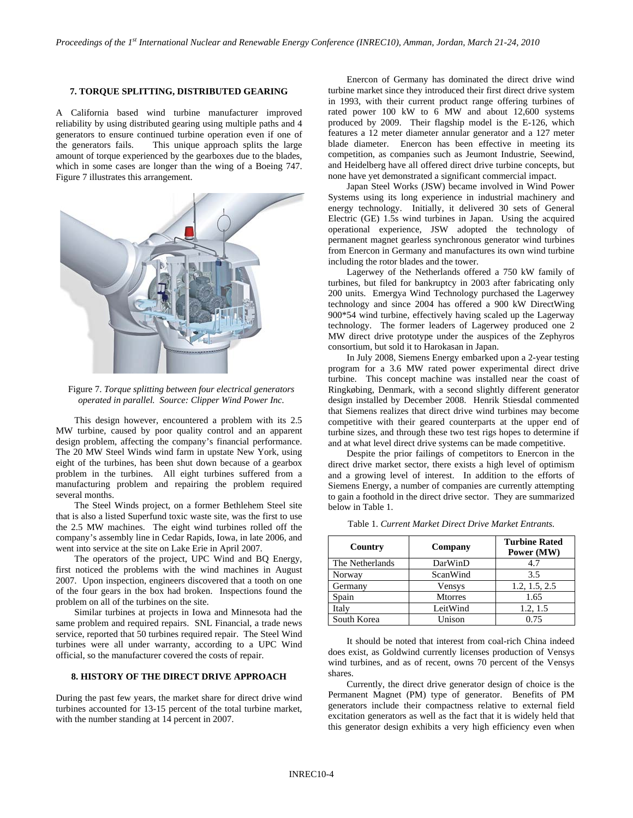# **7. TORQUE SPLITTING, DISTRIBUTED GEARING**

A California based wind turbine manufacturer improved reliability by using distributed gearing using multiple paths and 4 generators to ensure continued turbine operation even if one of the generators fails. This unique approach splits the large amount of torque experienced by the gearboxes due to the blades, which in some cases are longer than the wing of a Boeing 747. Figure 7 illustrates this arrangement.



Figure 7. *Torque splitting between four electrical generators operated in parallel. Source: Clipper Wind Power Inc.*

This design however, encountered a problem with its 2.5 MW turbine, caused by poor quality control and an apparent design problem, affecting the company's financial performance. The 20 MW Steel Winds wind farm in upstate New York, using eight of the turbines, has been shut down because of a gearbox problem in the turbines. All eight turbines suffered from a manufacturing problem and repairing the problem required several months.

The Steel Winds project, on a former Bethlehem Steel site that is also a listed Superfund toxic waste site, was the first to use the 2.5 MW machines. The eight wind turbines rolled off the company's assembly line in Cedar Rapids, Iowa, in late 2006, and went into service at the site on Lake Erie in April 2007.

The operators of the project, UPC Wind and BQ Energy, first noticed the problems with the wind machines in August 2007. Upon inspection, engineers discovered that a tooth on one of the four gears in the box had broken. Inspections found the problem on all of the turbines on the site.

Similar turbines at projects in Iowa and Minnesota had the same problem and required repairs. SNL Financial, a trade news service, reported that 50 turbines required repair. The Steel Wind turbines were all under warranty, according to a UPC Wind official, so the manufacturer covered the costs of repair.

# **8. HISTORY OF THE DIRECT DRIVE APPROACH**

During the past few years, the market share for direct drive wind turbines accounted for 13-15 percent of the total turbine market, with the number standing at 14 percent in 2007.

Enercon of Germany has dominated the direct drive wind turbine market since they introduced their first direct drive system in 1993, with their current product range offering turbines of rated power 100 kW to 6 MW and about 12,600 systems produced by 2009. Their flagship model is the E-126, which features a 12 meter diameter annular generator and a 127 meter blade diameter. Enercon has been effective in meeting its competition, as companies such as Jeumont Industrie, Seewind, and Heidelberg have all offered direct drive turbine concepts, but none have yet demonstrated a significant commercial impact.

Japan Steel Works (JSW) became involved in Wind Power Systems using its long experience in industrial machinery and energy technology. Initially, it delivered 30 sets of General Electric (GE) 1.5s wind turbines in Japan. Using the acquired operational experience, JSW adopted the technology of permanent magnet gearless synchronous generator wind turbines from Enercon in Germany and manufactures its own wind turbine including the rotor blades and the tower.

Lagerwey of the Netherlands offered a 750 kW family of turbines, but filed for bankruptcy in 2003 after fabricating only 200 units. Emergya Wind Technology purchased the Lagerwey technology and since 2004 has offered a 900 kW DirectWing 900\*54 wind turbine, effectively having scaled up the Lagerway technology. The former leaders of Lagerwey produced one 2 MW direct drive prototype under the auspices of the Zephyros consortium, but sold it to Harokasan in Japan.

In July 2008, Siemens Energy embarked upon a 2-year testing program for a 3.6 MW rated power experimental direct drive turbine. This concept machine was installed near the coast of Ringkøbing, Denmark, with a second slightly different generator design installed by December 2008. Henrik Stiesdal commented that Siemens realizes that direct drive wind turbines may become competitive with their geared counterparts at the upper end of turbine sizes, and through these two test rigs hopes to determine if and at what level direct drive systems can be made competitive.

Despite the prior failings of competitors to Enercon in the direct drive market sector, there exists a high level of optimism and a growing level of interest. In addition to the efforts of Siemens Energy, a number of companies are currently attempting to gain a foothold in the direct drive sector. They are summarized below in Table 1.

| Country         | Company        | <b>Turbine Rated</b><br>Power (MW) |
|-----------------|----------------|------------------------------------|
| The Netherlands | DarWinD        | 4.7                                |
| Norway          | ScanWind       | 3.5                                |
| Germany         | Vensys         | 1.2, 1.5, 2.5                      |
| Spain           | <b>Mtorres</b> | 1.65                               |
| Italy           | LeitWind       | 1.2, 1.5                           |
| South Korea     | Unison         | 0.75                               |

Table 1. *Current Market Direct Drive Market Entrants.*

It should be noted that interest from coal-rich China indeed does exist, as Goldwind currently licenses production of Vensys wind turbines, and as of recent, owns 70 percent of the Vensys shares.

Currently, the direct drive generator design of choice is the Permanent Magnet (PM) type of generator. Benefits of PM generators include their compactness relative to external field excitation generators as well as the fact that it is widely held that this generator design exhibits a very high efficiency even when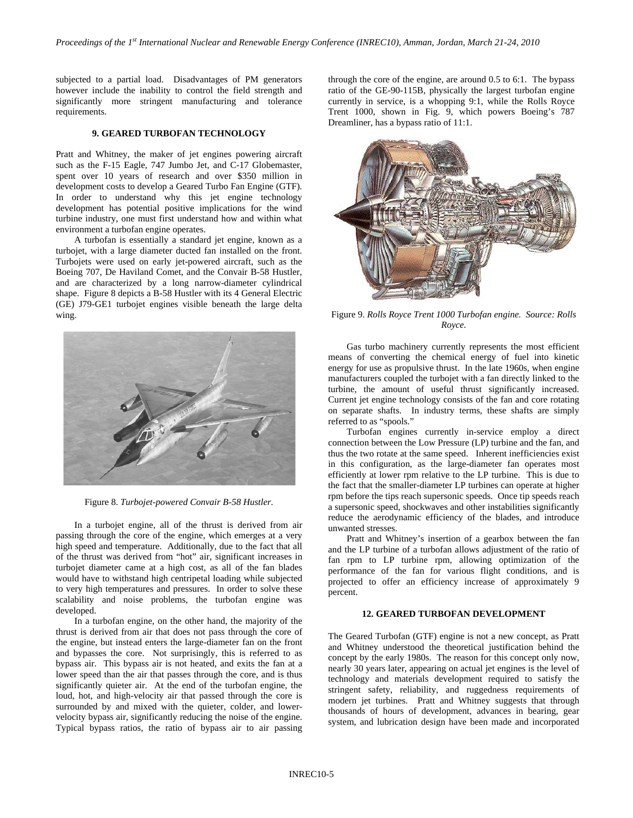subjected to a partial load. Disadvantages of PM generators however include the inability to control the field strength and significantly more stringent manufacturing and tolerance requirements.

## **9. GEARED TURBOFAN TECHNOLOGY**

Pratt and Whitney, the maker of jet engines powering aircraft such as the F-15 Eagle, 747 Jumbo Jet, and C-17 Globemaster, spent over 10 years of research and over \$350 million in development costs to develop a Geared Turbo Fan Engine (GTF). In order to understand why this jet engine technology development has potential positive implications for the wind turbine industry, one must first understand how and within what environment a turbofan engine operates.

A turbofan is essentially a standard jet engine, known as a turbojet, with a large diameter ducted fan installed on the front. Turbojets were used on early jet-powered aircraft, such as the Boeing 707, De Haviland Comet, and the Convair B-58 Hustler, and are characterized by a long narrow-diameter cylindrical shape. Figure 8 depicts a B-58 Hustler with its 4 General Electric (GE) J79-GE1 turbojet engines visible beneath the large delta wing.



Figure 8. *Turbojet-powered Convair B-58 Hustler.*

In a turbojet engine, all of the thrust is derived from air passing through the core of the engine, which emerges at a very high speed and temperature. Additionally, due to the fact that all of the thrust was derived from "hot" air, significant increases in turbojet diameter came at a high cost, as all of the fan blades would have to withstand high centripetal loading while subjected to very high temperatures and pressures. In order to solve these scalability and noise problems, the turbofan engine was developed.

In a turbofan engine, on the other hand, the majority of the thrust is derived from air that does not pass through the core of the engine, but instead enters the large-diameter fan on the front and bypasses the core. Not surprisingly, this is referred to as bypass air. This bypass air is not heated, and exits the fan at a lower speed than the air that passes through the core, and is thus significantly quieter air. At the end of the turbofan engine, the loud, hot, and high-velocity air that passed through the core is surrounded by and mixed with the quieter, colder, and lowervelocity bypass air, significantly reducing the noise of the engine. Typical bypass ratios, the ratio of bypass air to air passing

through the core of the engine, are around 0.5 to 6:1. The bypass ratio of the GE-90-115B, physically the largest turbofan engine currently in service, is a whopping 9:1, while the Rolls Royce Trent 1000, shown in Fig. 9, which powers Boeing's 787 Dreamliner, has a bypass ratio of 11:1.



Figure 9. *Rolls Royce Trent 1000 Turbofan engine. Source: Rolls Royce.*

Gas turbo machinery currently represents the most efficient means of converting the chemical energy of fuel into kinetic energy for use as propulsive thrust. In the late 1960s, when engine manufacturers coupled the turbojet with a fan directly linked to the turbine, the amount of useful thrust significantly increased. Current jet engine technology consists of the fan and core rotating on separate shafts. In industry terms, these shafts are simply referred to as "spools."

Turbofan engines currently in-service employ a direct connection between the Low Pressure (LP) turbine and the fan, and thus the two rotate at the same speed. Inherent inefficiencies exist in this configuration, as the large-diameter fan operates most efficiently at lower rpm relative to the LP turbine. This is due to the fact that the smaller-diameter LP turbines can operate at higher rpm before the tips reach supersonic speeds. Once tip speeds reach a supersonic speed, shockwaves and other instabilities significantly reduce the aerodynamic efficiency of the blades, and introduce unwanted stresses.

Pratt and Whitney's insertion of a gearbox between the fan and the LP turbine of a turbofan allows adjustment of the ratio of fan rpm to LP turbine rpm, allowing optimization of the performance of the fan for various flight conditions, and is projected to offer an efficiency increase of approximately 9 percent.

# **12. GEARED TURBOFAN DEVELOPMENT**

The Geared Turbofan (GTF) engine is not a new concept, as Pratt and Whitney understood the theoretical justification behind the concept by the early 1980s. The reason for this concept only now, nearly 30 years later, appearing on actual jet engines is the level of technology and materials development required to satisfy the stringent safety, reliability, and ruggedness requirements of modern jet turbines. Pratt and Whitney suggests that through thousands of hours of development, advances in bearing, gear system, and lubrication design have been made and incorporated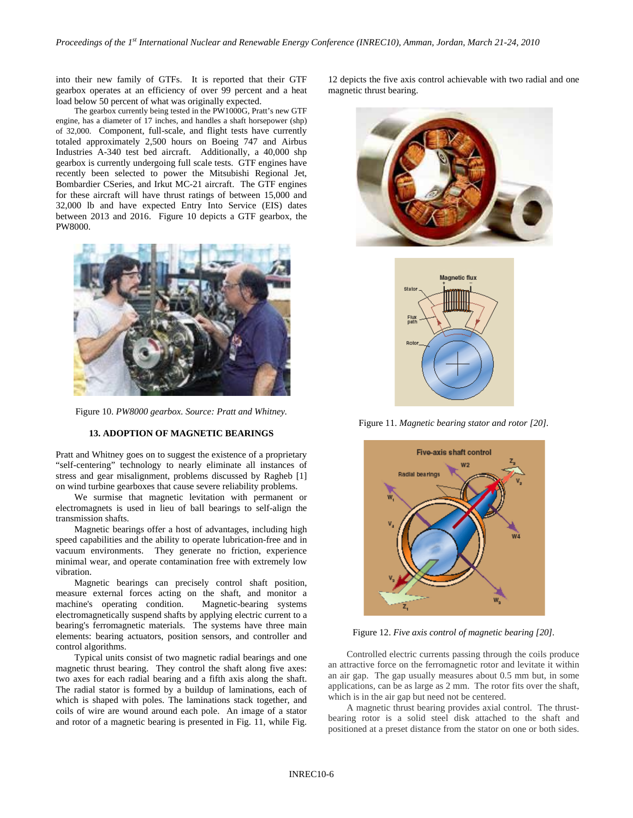into their new family of GTFs. It is reported that their GTF gearbox operates at an efficiency of over 99 percent and a heat load below 50 percent of what was originally expected.

The gearbox currently being tested in the PW1000G, Pratt's new GTF engine, has a diameter of 17 inches, and handles a shaft horsepower (shp) of 32,000. Component, full-scale, and flight tests have currently totaled approximately 2,500 hours on Boeing 747 and Airbus Industries A-340 test bed aircraft. Additionally, a 40,000 shp gearbox is currently undergoing full scale tests. GTF engines have recently been selected to power the Mitsubishi Regional Jet, Bombardier CSeries, and Irkut MC-21 aircraft. The GTF engines for these aircraft will have thrust ratings of between 15,000 and 32,000 lb and have expected Entry Into Service (EIS) dates between 2013 and 2016. Figure 10 depicts a GTF gearbox, the PW8000.



Figure 10. *PW8000 gearbox. Source: Pratt and Whitney.*

# **13. ADOPTION OF MAGNETIC BEARINGS**

Pratt and Whitney goes on to suggest the existence of a proprietary "self-centering" technology to nearly eliminate all instances of stress and gear misalignment, problems discussed by Ragheb [1] on wind turbine gearboxes that cause severe reliability problems.

We surmise that magnetic levitation with permanent or electromagnets is used in lieu of ball bearings to self-align the transmission shafts.

Magnetic bearings offer a host of advantages, including high speed capabilities and the ability to operate lubrication-free and in vacuum environments. They generate no friction, experience minimal wear, and operate contamination free with extremely low vibration.

Magnetic bearings can precisely control shaft position, measure external forces acting on the shaft, and monitor a machine's operating condition. Magnetic-bearing systems electromagnetically suspend shafts by applying electric current to a bearing's ferromagnetic materials. The systems have three main elements: bearing actuators, position sensors, and controller and control algorithms.

Typical units consist of two magnetic radial bearings and one magnetic thrust bearing. They control the shaft along five axes: two axes for each radial bearing and a fifth axis along the shaft. The radial stator is formed by a buildup of laminations, each of which is shaped with poles. The laminations stack together, and coils of wire are wound around each pole. An image of a stator and rotor of a magnetic bearing is presented in Fig. 11, while Fig.

12 depicts the five axis control achievable with two radial and one magnetic thrust bearing.





Figure 11. *Magnetic bearing stator and rotor [20].*



Figure 12. *Five axis control of magnetic bearing [20].*

Controlled electric currents passing through the coils produce an attractive force on the ferromagnetic rotor and levitate it within an air gap. The gap usually measures about 0.5 mm but, in some applications, can be as large as 2 mm. The rotor fits over the shaft, which is in the air gap but need not be centered.

A magnetic thrust bearing provides axial control. The thrustbearing rotor is a solid steel disk attached to the shaft and positioned at a preset distance from the stator on one or both sides.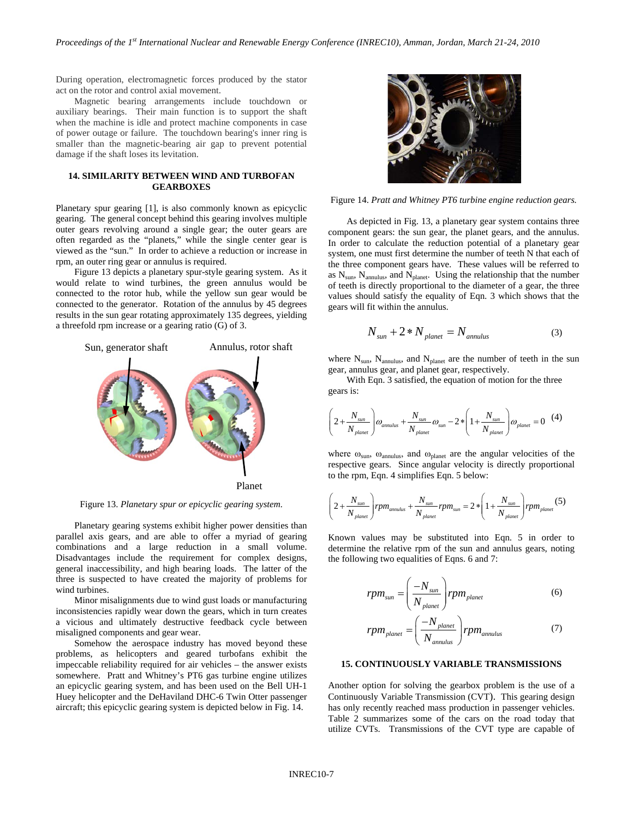During operation, electromagnetic forces produced by the stator act on the rotor and control axial movement.

Magnetic bearing arrangements include touchdown or auxiliary bearings. Their main function is to support the shaft when the machine is idle and protect machine components in case of power outage or failure. The touchdown bearing's inner ring is smaller than the magnetic-bearing air gap to prevent potential damage if the shaft loses its levitation.

# **14. SIMILARITY BETWEEN WIND AND TURBOFAN GEARBOXES**

Planetary spur gearing [1], is also commonly known as epicyclic gearing. The general concept behind this gearing involves multiple outer gears revolving around a single gear; the outer gears are often regarded as the "planets," while the single center gear is viewed as the "sun." In order to achieve a reduction or increase in rpm, an outer ring gear or annulus is required.

Figure 13 depicts a planetary spur-style gearing system. As it would relate to wind turbines, the green annulus would be connected to the rotor hub, while the yellow sun gear would be connected to the generator. Rotation of the annulus by 45 degrees results in the sun gear rotating approximately 135 degrees, yielding a threefold rpm increase or a gearing ratio (G) of 3.



Figure 13. *Planetary spur or epicyclic gearing system.*

Planetary gearing systems exhibit higher power densities than parallel axis gears, and are able to offer a myriad of gearing combinations and a large reduction in a small volume. Disadvantages include the requirement for complex designs, general inaccessibility, and high bearing loads. The latter of the three is suspected to have created the majority of problems for wind turbines.

Minor misalignments due to wind gust loads or manufacturing inconsistencies rapidly wear down the gears, which in turn creates a vicious and ultimately destructive feedback cycle between misaligned components and gear wear.

Somehow the aerospace industry has moved beyond these problems, as helicopters and geared turbofans exhibit the impeccable reliability required for air vehicles – the answer exists somewhere. Pratt and Whitney's PT6 gas turbine engine utilizes an epicyclic gearing system, and has been used on the Bell UH-1 Huey helicopter and the DeHaviland DHC-6 Twin Otter passenger aircraft; this epicyclic gearing system is depicted below in Fig. 14.



Figure 14. *Pratt and Whitney PT6 turbine engine reduction gears.*

As depicted in Fig. 13, a planetary gear system contains three component gears: the sun gear, the planet gears, and the annulus. In order to calculate the reduction potential of a planetary gear system, one must first determine the number of teeth N that each of the three component gears have. These values will be referred to as  $N_{sun}$ ,  $N_{annulus}$ , and  $N_{planet}$ . Using the relationship that the number of teeth is directly proportional to the diameter of a gear, the three values should satisfy the equality of Eqn. 3 which shows that the gears will fit within the annulus.

$$
N_{\rm sun} + 2*N_{\rm planet} = N_{\rm annulus} \tag{3}
$$

where  $N_{sun}$ ,  $N_{annulus}$ , and  $N_{planet}$  are the number of teeth in the sun gear, annulus gear, and planet gear, respectively.

With Eqn. 3 satisfied, the equation of motion for the three gears is:

$$
\left(2 + \frac{N_{sun}}{N_{planet}}\right)\omega_{annulus} + \frac{N_{sun}}{N_{planet}}\omega_{sun} - 2*\left(1 + \frac{N_{sun}}{N_{planet}}\right)\omega_{planet} = 0 \quad (4)
$$

where  $\omega_{sun}$ ,  $\omega_{annulus}$ , and  $\omega_{planet}$  are the angular velocities of the respective gears. Since angular velocity is directly proportional to the rpm, Eqn. 4 simplifies Eqn. 5 below:

$$
\left(2+\frac{N_{sun}}{N_{planet}}\right) rpm_{amuulus} + \frac{N_{sun}}{N_{planet}} rpm_{sun} = 2*\left(1+\frac{N_{sun}}{N_{planet}}\right) rpm_{planet}(5)
$$

Known values may be substituted into Eqn. 5 in order to determine the relative rpm of the sun and annulus gears, noting the following two equalities of Eqns. 6 and 7:

$$
rpm_{sun} = \left(\frac{-N_{sun}}{N_{planet}}\right) rpm_{planet}
$$
 (6)

$$
rpm_{planet} = \left(\frac{-N_{planet}}{N_{annulus}}\right) rpm_{annulus} \tag{7}
$$

# **15. CONTINUOUSLY VARIABLE TRANSMISSIONS**

Another option for solving the gearbox problem is the use of a Continuously Variable Transmission (CVT). This gearing design has only recently reached mass production in passenger vehicles. Table 2 summarizes some of the cars on the road today that utilize CVTs. Transmissions of the CVT type are capable of